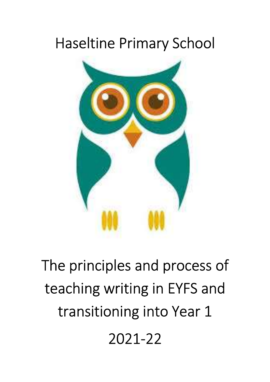# Haseltine Primary School



The principles and process of teaching writing in EYFS and transitioning into Year 1 2021-22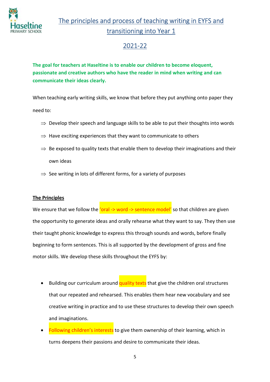

The principles and process of teaching writing in EYFS and transitioning into Year 1

### 2021-22

The goal for teachers at Haseltine is to enable our children to become eloquent, passionate and creative authors who have the reader in mind when writing and can communicate their ideas clearly.

When teaching early writing skills, we know that before they put anything onto paper they need to:

- $\Rightarrow$  Develop their speech and language skills to be able to put their thoughts into words
- $\Rightarrow$  Have exciting experiences that they want to communicate to others
- $\Rightarrow$  Be exposed to quality texts that enable them to develop their imaginations and their own ideas
- $\Rightarrow$  See writing in lots of different forms, for a variety of purposes

#### The Principles

We ensure that we follow the 'oral -> word -> sentence model' so that children are given the opportunity to generate ideas and orally rehearse what they want to say. They then use their taught phonic knowledge to express this through sounds and words, before finally beginning to form sentences. This is all supported by the development of gross and fine motor skills. We develop these skills throughout the EYFS by:

- Building our curriculum around quality texts that give the children oral structures that our repeated and rehearsed. This enables them hear new vocabulary and see creative writing in practice and to use these structures to develop their own speech and imaginations.
- Following children's interests to give them ownership of their learning, which in turns deepens their passions and desire to communicate their ideas.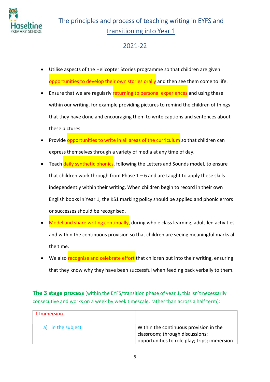

# The principles and process of teaching writing in EYFS and transitioning into Year 1

# 2021-22

- Utilise aspects of the Helicopter Stories programme so that children are given opportunities to develop their own stories orally and then see them come to life.
- **Ensure that we are regularly returning to personal experiences** and using these within our writing, for example providing pictures to remind the children of things that they have done and encouraging them to write captions and sentences about these pictures.
- Provide opportunities to write in all areas of the curriculum so that children can express themselves through a variety of media at any time of day.
- Teach daily synthetic phonics, following the Letters and Sounds model, to ensure that children work through from Phase  $1 - 6$  and are taught to apply these skills independently within their writing. When children begin to record in their own English books in Year 1, the KS1 marking policy should be applied and phonic errors or successes should be recognised.
- Model and share writing continually, during whole class learning, adult-led activities and within the continuous provision so that children are seeing meaningful marks all the time.
- We also recognise and celebrate effort that children put into their writing, ensuring that they know why they have been successful when feeding back verbally to them.

**The 3 stage process** (within the EYFS/transition phase of year 1, this isn't necessarily consecutive and works on a week by week timescale, rather than across a half term):

| 1 Immersion       |                                                                                                                           |
|-------------------|---------------------------------------------------------------------------------------------------------------------------|
| a) in the subject | Within the continuous provision in the<br>classroom; through discussions;<br>opportunities to role play; trips; immersion |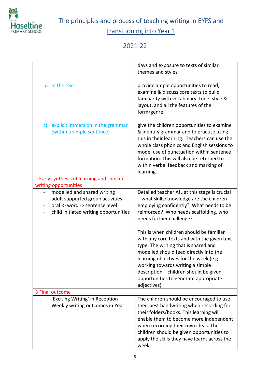

The principles and process of teaching writing in EYFS and

transitioning into Year 1

## 2021-22

|                                                                       | days and exposure to texts of similar<br>themes and styles.                                                                                                                                                                                                                                                                                               |
|-----------------------------------------------------------------------|-----------------------------------------------------------------------------------------------------------------------------------------------------------------------------------------------------------------------------------------------------------------------------------------------------------------------------------------------------------|
| b) in the text                                                        | provide ample opportunities to read,<br>examine & discuss core texts to build<br>familiarity with vocabulary, tone, style &<br>layout, and all the features of the<br>form/genre.                                                                                                                                                                         |
| explicit immersion in the grammar<br>C)<br>(within a simple sentence) | give the children opportunities to examine<br>& identify grammar and to practise using<br>this in their learning. Teachers can use the<br>whole class phonics and English sessions to<br>model use of punctuation within sentence<br>formation. This will also be returned to<br>within verbal feedback and marking of<br>learning.                       |
| 2 Early synthesis of learning and shorter                             |                                                                                                                                                                                                                                                                                                                                                           |
| writing opportunities                                                 |                                                                                                                                                                                                                                                                                                                                                           |
| modelled and shared writing<br>$\overline{\phantom{0}}$               | Detailed teacher AfL at this stage is crucial                                                                                                                                                                                                                                                                                                             |
| adult supported group activities<br>$\overline{\phantom{0}}$          | - what skills/knowledge are the children                                                                                                                                                                                                                                                                                                                  |
| oral -> word -> sentence level                                        | employing confidently? What needs to be                                                                                                                                                                                                                                                                                                                   |
| child initiated writing opportunities                                 | reinforced? Who needs scaffolding, who<br>needs further challenge?                                                                                                                                                                                                                                                                                        |
|                                                                       | This is when children should be familiar<br>with any core texts and with the given text<br>type. The writing that is shared and<br>modelled should feed directly into the<br>learning objectives for the week (e.g.<br>working towards writing a simple<br>description - children should be given<br>opportunities to generate appropriate<br>adjectives) |
| 3 Final outcome                                                       |                                                                                                                                                                                                                                                                                                                                                           |
| 'Exciting Writing' in Reception                                       | The children should be encouraged to use                                                                                                                                                                                                                                                                                                                  |
| Weekly writing outcomes in Year 1                                     | their best handwriting when recording for<br>their folders/books. This learning will                                                                                                                                                                                                                                                                      |
|                                                                       | enable them to become more independent                                                                                                                                                                                                                                                                                                                    |
|                                                                       | when recording their own ideas. The                                                                                                                                                                                                                                                                                                                       |
|                                                                       | children should be given opportunities to                                                                                                                                                                                                                                                                                                                 |
|                                                                       | apply the skills they have learnt across the<br>week.                                                                                                                                                                                                                                                                                                     |